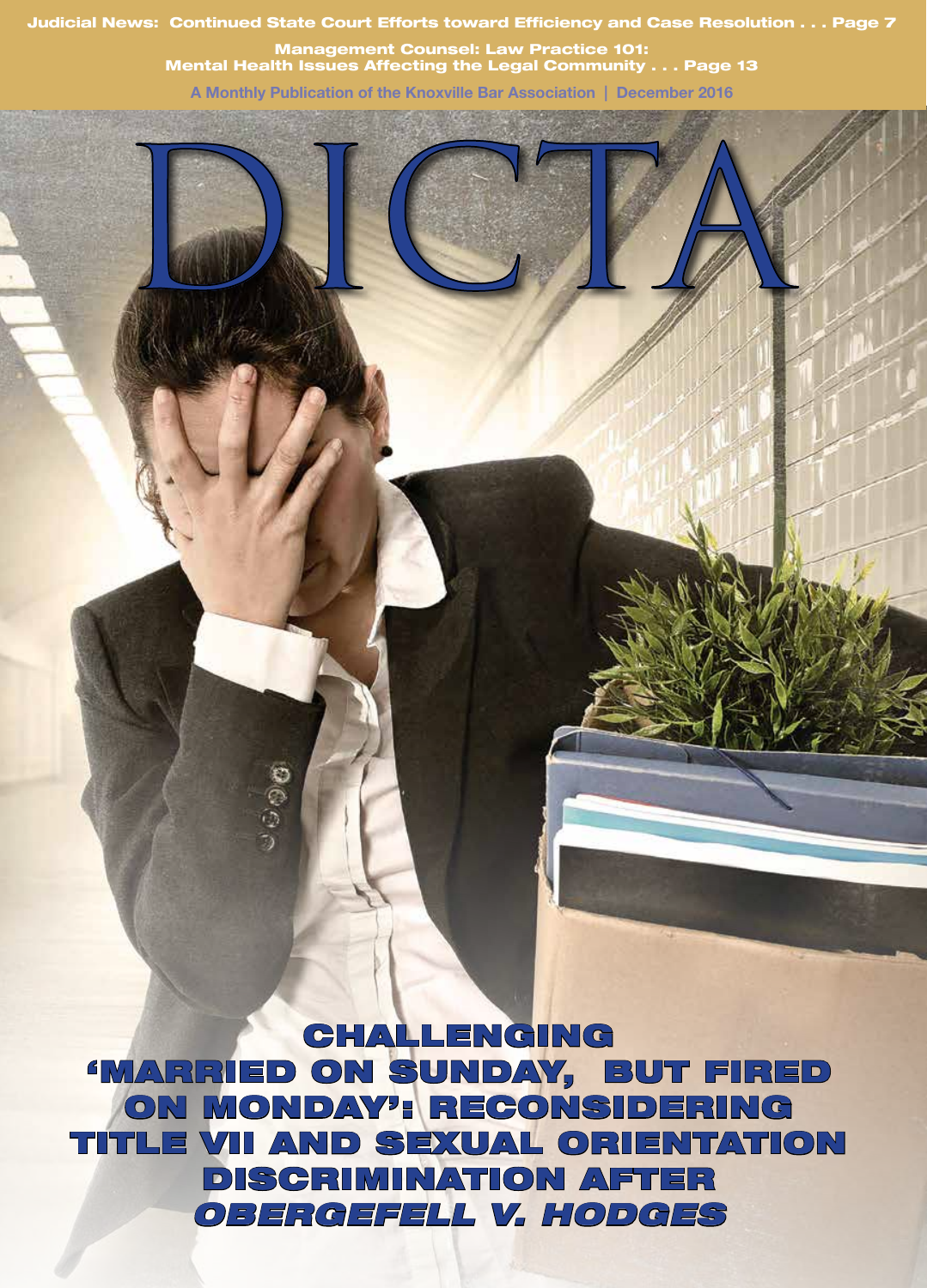Judicial News: Continued State Court Efforts toward Efficiency and Case Resolution . . . Page 7

Management Counsel: Law Practice 101: Mental Health Issues Affecting the Legal Community . . . Page 13

**A Monthly Publication of the Knoxville Bar Association | December 2016**



 $\cup$  000